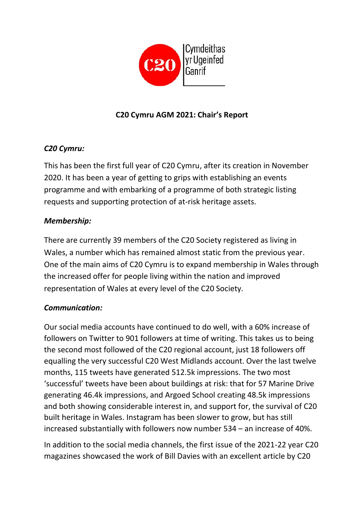

# **C20 Cymru AGM 2021: Chair's Report**

## *C20 Cymru:*

This has been the first full year of C20 Cymru, after its creation in November 2020. It has been a year of getting to grips with establishing an events programme and with embarking of a programme of both strategic listing requests and supporting protection of at-risk heritage assets.

### *Membership:*

There are currently 39 members of the C20 Society registered as living in Wales, a number which has remained almost static from the previous year. One of the main aims of C20 Cymru is to expand membership in Wales through the increased offer for people living within the nation and improved representation of Wales at every level of the C20 Society.

### *Communication:*

Our social media accounts have continued to do well, with a 60% increase of followers on Twitter to 901 followers at time of writing. This takes us to being the second most followed of the C20 regional account, just 18 followers off equalling the very successful C20 West Midlands account. Over the last twelve months, 115 tweets have generated 512.5k impressions. The two most 'successful' tweets have been about buildings at risk: that for 57 Marine Drive generating 46.4k impressions, and Argoed School creating 48.5k impressions and both showing considerable interest in, and support for, the survival of C20 built heritage in Wales. Instagram has been slower to grow, but has still increased substantially with followers now number 534 – an increase of 40%.

In addition to the social media channels, the first issue of the 2021-22 year C20 magazines showcased the work of Bill Davies with an excellent article by C20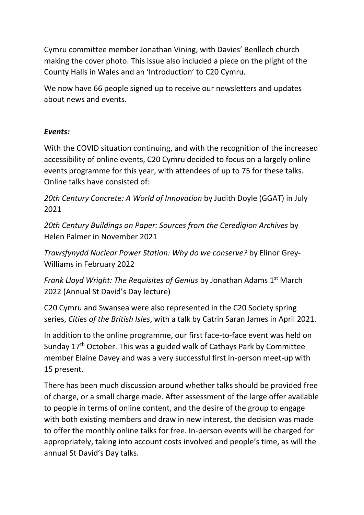Cymru committee member Jonathan Vining, with Davies' Benllech church making the cover photo. This issue also included a piece on the plight of the County Halls in Wales and an 'Introduction' to C20 Cymru.

We now have 66 people signed up to receive our newsletters and updates about news and events.

#### *Events:*

With the COVID situation continuing, and with the recognition of the increased accessibility of online events, C20 Cymru decided to focus on a largely online events programme for this year, with attendees of up to 75 for these talks. Online talks have consisted of:

*20th Century Concrete: A World of Innovation* by Judith Doyle (GGAT) in July 2021

*20th Century Buildings on Paper: Sources from the Ceredigion Archives* by Helen Palmer in November 2021

*Trawsfynydd Nuclear Power Station: Why do we conserve?* by Elinor Grey-Williams in February 2022

*Frank Lloyd Wright: The Requisites of Genius* by Jonathan Adams 1<sup>st</sup> March 2022 (Annual St David's Day lecture)

C20 Cymru and Swansea were also represented in the C20 Society spring series, *Cities of the British Isles*, with a talk by Catrin Saran James in April 2021.

In addition to the online programme, our first face-to-face event was held on Sunday 17<sup>th</sup> October. This was a guided walk of Cathays Park by Committee member Elaine Davey and was a very successful first in-person meet-up with 15 present.

There has been much discussion around whether talks should be provided free of charge, or a small charge made. After assessment of the large offer available to people in terms of online content, and the desire of the group to engage with both existing members and draw in new interest, the decision was made to offer the monthly online talks for free. In-person events will be charged for appropriately, taking into account costs involved and people's time, as will the annual St David's Day talks.